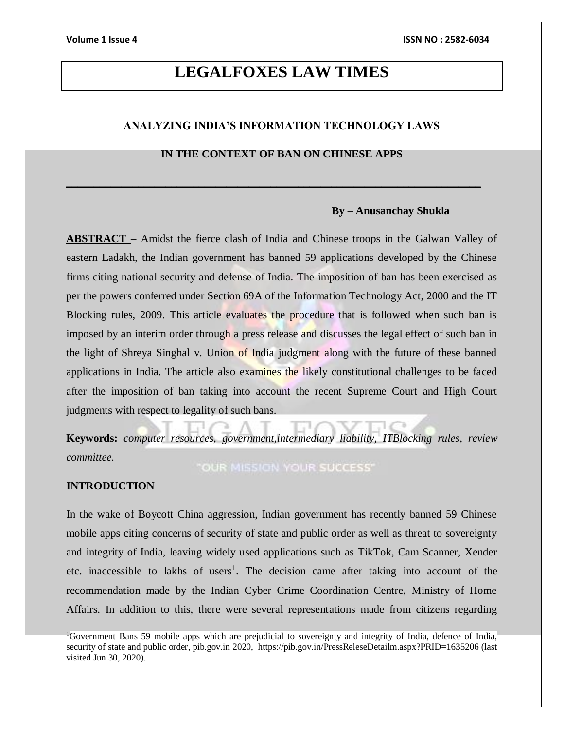# **LEGALFOXES LAW TIMES**

### **ANALYZING INDIA'S INFORMATION TECHNOLOGY LAWS**

### **IN THE CONTEXT OF BAN ON CHINESE APPS**

**\_\_\_\_\_\_\_\_\_\_\_\_\_\_\_\_\_\_\_\_\_\_\_\_\_\_\_\_\_\_\_\_\_\_\_\_\_\_\_\_\_\_\_\_\_\_\_\_\_\_\_\_\_\_\_\_\_\_\_\_\_\_\_\_\_\_\_\_\_\_\_\_\_\_\_**

### **By – Anusanchay Shukla**

**ABSTRACT –** Amidst the fierce clash of India and Chinese troops in the Galwan Valley of eastern Ladakh, the Indian government has banned 59 applications developed by the Chinese firms citing national security and defense of India. The imposition of ban has been exercised as per the powers conferred under Section 69A of the Information Technology Act, 2000 and the IT Blocking rules, 2009. This article evaluates the procedure that is followed when such ban is imposed by an interim order through a press release and discusses the legal effect of such ban in the light of Shreya Singhal v. Union of India judgment along with the future of these banned applications in India. The article also examines the likely constitutional challenges to be faced after the imposition of ban taking into account the recent Supreme Court and High Court judgments with respect to legality of such bans.

**Keywords:** *computer resources, government,intermediary liability, ITBlocking rules, review committee.*

**"OUR MISSION YOUR SUCCESS"** 

### **INTRODUCTION**

In the wake of Boycott China aggression, Indian government has recently banned 59 Chinese mobile apps citing concerns of security of state and public order as well as threat to sovereignty and integrity of India, leaving widely used applications such as TikTok, Cam Scanner, Xender etc. inaccessible to lakhs of users<sup>1</sup>. The decision came after taking into account of the recommendation made by the Indian Cyber Crime Coordination Centre, Ministry of Home Affairs. In addition to this, there were several representations made from citizens regarding

<sup>1</sup>Government Bans 59 mobile apps which are prejudicial to sovereignty and integrity of India, defence of India, security of state and public order, pib.gov.in 2020, https://pib.gov.in/PressReleseDetailm.aspx?PRID=1635206 (last visited Jun 30, 2020).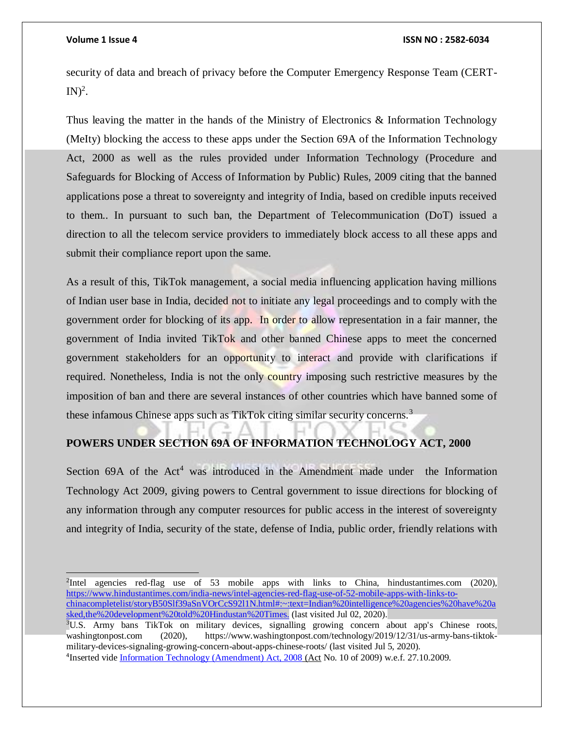security of data and breach of privacy before the Computer Emergency Response Team (CERT- $IN)^2$ .

Thus leaving the matter in the hands of the Ministry of Electronics & Information Technology (MeIty) blocking the access to these apps under the Section 69A of the Information Technology Act, 2000 as well as the rules provided under Information Technology (Procedure and Safeguards for Blocking of Access of Information by Public) Rules, 2009 citing that the banned applications pose a threat to sovereignty and integrity of India, based on credible inputs received to them.. In pursuant to such ban, the Department of Telecommunication (DoT) issued a direction to all the telecom service providers to immediately block access to all these apps and submit their compliance report upon the same.

As a result of this, TikTok management, a social media influencing application having millions of Indian user base in India, decided not to initiate any legal proceedings and to comply with the government order for blocking of its app. In order to allow representation in a fair manner, the government of India invited TikTok and other banned Chinese apps to meet the concerned government stakeholders for an opportunity to interact and provide with clarifications if required. Nonetheless, India is not the only country imposing such restrictive measures by the imposition of ban and there are several instances of other countries which have banned some of these infamous Chinese apps such as TikTok citing similar security concerns.<sup>3</sup>

### **POWERS UNDER SECTION 69A OF INFORMATION TECHNOLOGY ACT, 2000**

Section  $69A$  of the Act<sup>4</sup> was introduced in the Amendment made under the Information Technology Act 2009, giving powers to Central government to issue directions for blocking of any information through any computer resources for public access in the interest of sovereignty and integrity of India, security of the state, defense of India, public order, friendly relations with

<sup>2</sup>Intel agencies red-flag use of 53 mobile apps with links to China, hindustantimes.com (2020), [https://www.hindustantimes.com/india-news/intel-agencies-red-flag-use-of-52-mobile-apps-with-links-to](https://www.hindustantimes.com/india-news/intel-agencies-red-flag-use-of-52-mobile-apps-with-links-to-chinacompletelist/storyB50Slf39aSnVOrCcS92l1N.html#:~:text=Indian%20intelligence%20agencies%20have%20asked,the%20development%20told%20Hindustan%20Times.)[chinacompletelist/storyB50Slf39aSnVOrCcS92l1N.html#:~:text=Indian%20intelligence%20agencies%20have%20a](https://www.hindustantimes.com/india-news/intel-agencies-red-flag-use-of-52-mobile-apps-with-links-to-chinacompletelist/storyB50Slf39aSnVOrCcS92l1N.html#:~:text=Indian%20intelligence%20agencies%20have%20asked,the%20development%20told%20Hindustan%20Times.) [sked,the%20development%20told%20Hindustan%20Times.](https://www.hindustantimes.com/india-news/intel-agencies-red-flag-use-of-52-mobile-apps-with-links-to-chinacompletelist/storyB50Slf39aSnVOrCcS92l1N.html#:~:text=Indian%20intelligence%20agencies%20have%20asked,the%20development%20told%20Hindustan%20Times.) (last visited Jul 02, 2020).

<sup>3</sup>U.S. Army bans TikTok on military devices, signalling growing concern about app's Chinese roots, washingtonpost.com (2020), https://www.washingtonpost.com/technology/2019/12/31/us-army-bans-tiktokmilitary-devices-signaling-growing-concern-about-apps-chinese-roots/ (last visited Jul 5, 2020). <sup>4</sup>Inserted vide [Information Technology \(Amendment\) Act, 2008](http://elibrary.symlaw.ac.in:2060/ba/acttoc.aspx?actid=2788) (Act No. 10 of 2009) w.e.f. 27.10.2009.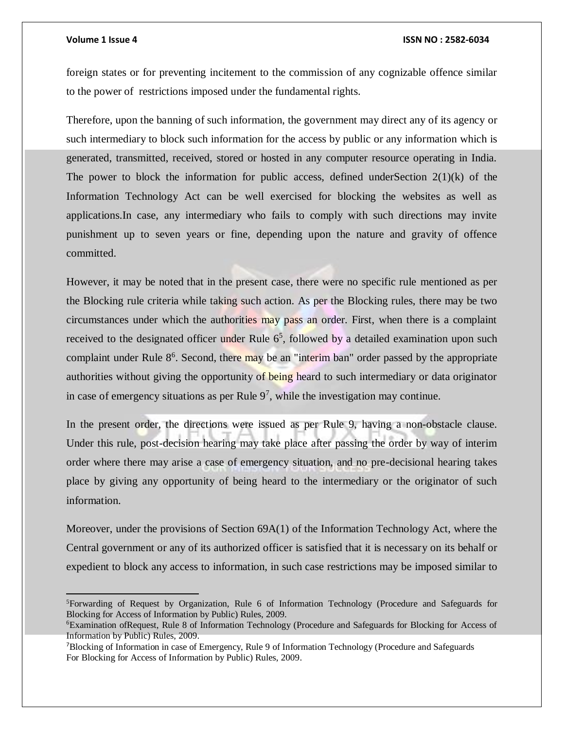$\overline{a}$ 

#### **Volume 1 Issue 4 ISSN NO : 2582-6034**

foreign states or for preventing incitement to the commission of any cognizable offence similar to the power of restrictions imposed under the fundamental rights.

Therefore, upon the banning of such information, the government may direct any of its agency or such intermediary to block such information for the access by public or any information which is generated, transmitted, received, stored or hosted in any computer resource operating in India. The power to block the information for public access, defined underSection  $2(1)(k)$  of the Information Technology Act can be well exercised for blocking the websites as well as applications.In case, any intermediary who fails to comply with such directions may invite punishment up to seven years or fine, depending upon the nature and gravity of offence committed.

However, it may be noted that in the present case, there were no specific rule mentioned as per the Blocking rule criteria while taking such action. As per the Blocking rules, there may be two circumstances under which the authorities may pass an order. First, when there is a complaint received to the designated officer under Rule  $6<sup>5</sup>$ , followed by a detailed examination upon such complaint under Rule 8<sup>6</sup>. Second, there may be an "interim ban" order passed by the appropriate authorities without giving the opportunity of being heard to such intermediary or data originator in case of emergency situations as per Rule  $9<sup>7</sup>$ , while the investigation may continue.

In the present order, the directions were issued as per Rule 9, having a non-obstacle clause. Under this rule, post-decision hearing may take place after passing the order by way of interim order where there may arise a case of emergency situation, and no pre-decisional hearing takes place by giving any opportunity of being heard to the intermediary or the originator of such information.

Moreover, under the provisions of Section 69A(1) of the Information Technology Act, where the Central government or any of its authorized officer is satisfied that it is necessary on its behalf or expedient to block any access to information, in such case restrictions may be imposed similar to

<sup>5</sup>Forwarding of Request by Organization, Rule 6 of Information Technology (Procedure and Safeguards for Blocking for Access of Information by Public) Rules, 2009.

<sup>6</sup>Examination ofRequest, Rule 8 of Information Technology (Procedure and Safeguards for Blocking for Access of Information by Public) Rules, 2009.

<sup>7</sup>Blocking of Information in case of Emergency, Rule 9 of Information Technology (Procedure and Safeguards For Blocking for Access of Information by Public) Rules, 2009.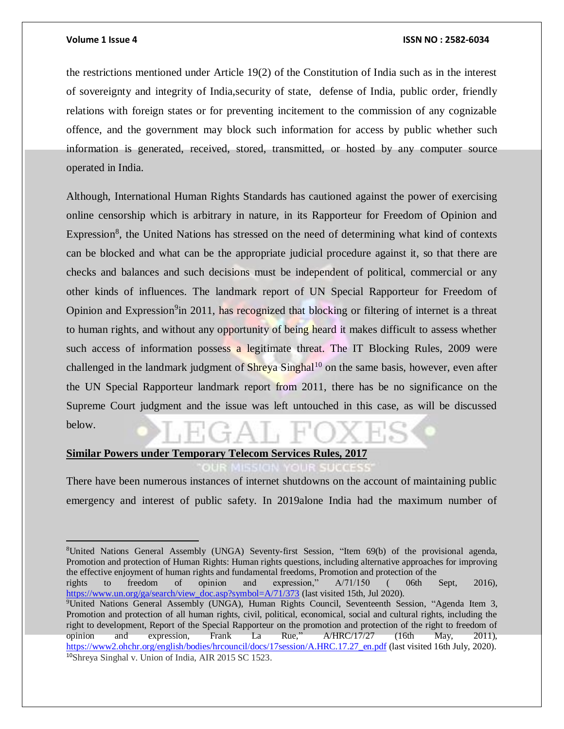$\overline{a}$ 

#### **Volume 1 Issue 4 ISSN NO : 2582-6034**

the restrictions mentioned under Article 19(2) of the Constitution of India such as in the interest of sovereignty and integrity of India,security of state, defense of India, public order, friendly relations with foreign states or for preventing incitement to the commission of any cognizable offence, and the government may block such information for access by public whether such information is generated, received, stored, transmitted, or hosted by any computer source operated in India.

Although, International Human Rights Standards has cautioned against the power of exercising online censorship which is arbitrary in nature, in its Rapporteur for Freedom of Opinion and Expression<sup>8</sup>, the United Nations has stressed on the need of determining what kind of contexts can be blocked and what can be the appropriate judicial procedure against it, so that there are checks and balances and such decisions must be independent of political, commercial or any other kinds of influences. The landmark report of UN Special Rapporteur for Freedom of Opinion and Expression<sup>9</sup>in 2011, has recognized that blocking or filtering of internet is a threat to human rights, and without any opportunity of being heard it makes difficult to assess whether such access of information possess a legitimate threat. The IT Blocking Rules, 2009 were challenged in the landmark judgment of  $\text{Shreya}$  Singhal<sup>10</sup> on the same basis, however, even after the UN Special Rapporteur landmark report from 2011, there has be no significance on the Supreme Court judgment and the issue was left untouched in this case, as will be discussed below.

## **Similar Powers under Temporary Telecom Services Rules, 2017**

There have been numerous instances of internet shutdowns on the account of maintaining public emergency and interest of public safety. In 2019alone India had the maximum number of

rights to freedom of opinion and expression," A/71/150 ( 06th Sept, 2016), [https://www.un.org/ga/search/view\\_doc.asp?symbol=A/71/373](https://www.un.org/ga/search/view_doc.asp?symbol=A/71/373) (last visited 15th, Jul 2020).

<sup>8</sup>United Nations General Assembly (UNGA) Seventy-first Session, "Item 69(b) of the provisional agenda, Promotion and protection of Human Rights: Human rights questions, including alternative approaches for improving the effective enjoyment of human rights and fundamental freedoms, Promotion and protection of the

<sup>9</sup>United Nations General Assembly (UNGA), Human Rights Council, Seventeenth Session, "Agenda Item 3, Promotion and protection of all human rights, civil, political, economical, social and cultural rights, including the right to development, Report of the Special Rapporteur on the promotion and protection of the right to freedom of opinion and expression, Frank La Rue,"  $\triangle/HRC/17/27$  (16th May, 2011), opinion and expression, Frank La Rue," A/HRC/17/27 (16th May, 2011), [https://www2.ohchr.org/english/bodies/hrcouncil/docs/17session/A.HRC.17.27\\_en.pdf](https://www2.ohchr.org/english/bodies/hrcouncil/docs/17session/A.HRC.17.27_en.pdf) (last visited 16th July, 2020). 10Shreya Singhal v. Union of India, AIR 2015 SC 1523.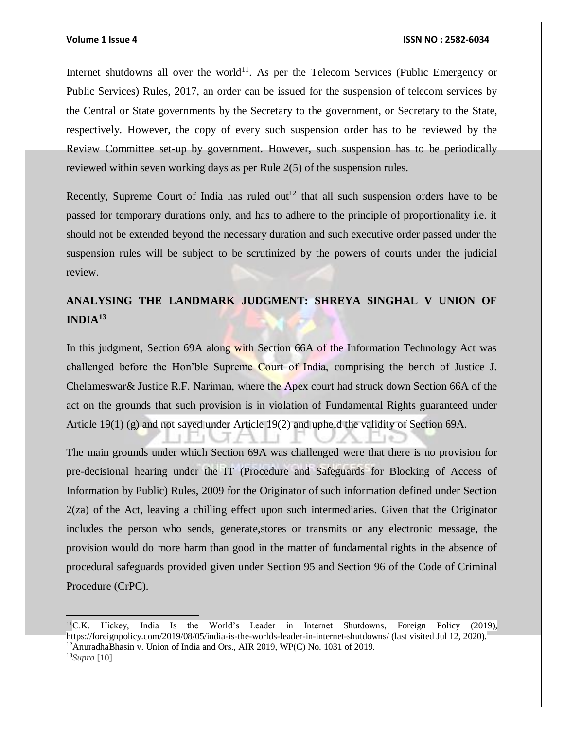#### **Volume 1 Issue 4 ISSN NO : 2582-6034**

Internet shutdowns all over the world<sup>11</sup>. As per the Telecom Services (Public Emergency or Public Services) Rules, 2017, an order can be issued for the suspension of telecom services by the Central or State governments by the Secretary to the government, or Secretary to the State, respectively. However, the copy of every such suspension order has to be reviewed by the Review Committee set-up by government. However, such suspension has to be periodically reviewed within seven working days as per Rule 2(5) of the suspension rules.

Recently, Supreme Court of India has ruled out<sup>12</sup> that all such suspension orders have to be passed for temporary durations only, and has to adhere to the principle of proportionality i.e. it should not be extended beyond the necessary duration and such executive order passed under the suspension rules will be subject to be scrutinized by the powers of courts under the judicial review.

## **ANALYSING THE LANDMARK JUDGMENT: SHREYA SINGHAL V UNION OF INDIA<sup>13</sup>**

In this judgment, Section 69A along with Section 66A of the Information Technology Act was challenged before the Hon'ble Supreme Court of India, comprising the bench of Justice J. Chelameswar& Justice R.F. Nariman, where the Apex court had struck down Section 66A of the act on the grounds that such provision is in violation of Fundamental Rights guaranteed under Article 19(1) (g) and not saved under Article 19(2) and upheld the validity of Section 69A.

The main grounds under which Section 69A was challenged were that there is no provision for pre-decisional hearing under the IT (Procedure and Safeguards for Blocking of Access of Information by Public) Rules, 2009 for the Originator of such information defined under Section 2(za) of the Act, leaving a chilling effect upon such intermediaries. Given that the Originator includes the person who sends, generate,stores or transmits or any electronic message, the provision would do more harm than good in the matter of fundamental rights in the absence of procedural safeguards provided given under Section 95 and Section 96 of the Code of Criminal Procedure (CrPC).

 $11$ C.K. Hickey, India Is the World's Leader in Internet Shutdowns, Foreign Policy (2019), https://foreignpolicy.com/2019/08/05/india-is-the-worlds-leader-in-internet-shutdowns/ (last visited Jul 12, 2020). <sup>12</sup>AnuradhaBhasin v. Union of India and Ors., AIR 2019, WP(C) No. 1031 of 2019. 13*Supra* [10]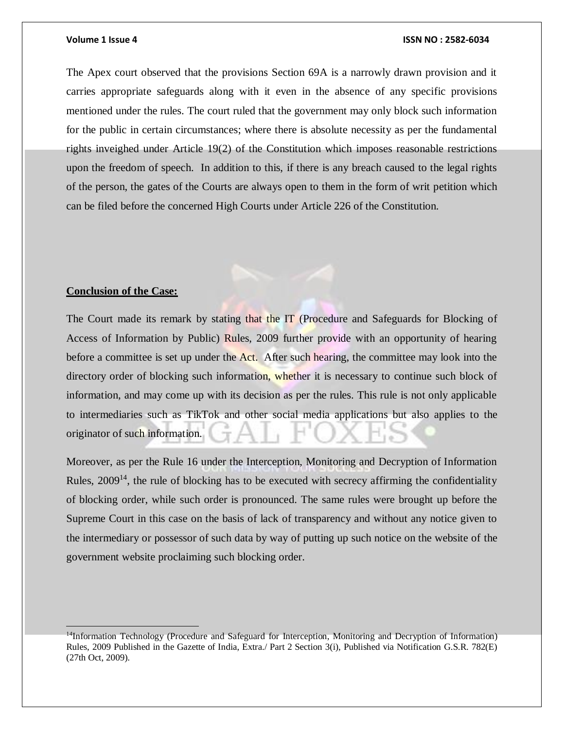The Apex court observed that the provisions Section 69A is a narrowly drawn provision and it carries appropriate safeguards along with it even in the absence of any specific provisions mentioned under the rules. The court ruled that the government may only block such information for the public in certain circumstances; where there is absolute necessity as per the fundamental rights inveighed under Article 19(2) of the Constitution which imposes reasonable restrictions upon the freedom of speech. In addition to this, if there is any breach caused to the legal rights of the person, the gates of the Courts are always open to them in the form of writ petition which can be filed before the concerned High Courts under Article 226 of the Constitution.

### **Conclusion of the Case:**

The Court made its remark by stating that the IT (Procedure and Safeguards for Blocking of Access of Information by Public) Rules, 2009 further provide with an opportunity of hearing before a committee is set up under the Act. After such hearing, the committee may look into the directory order of blocking such information, whether it is necessary to continue such block of information, and may come up with its decision as per the rules. This rule is not only applicable to intermediaries such as TikTok and other social media applications but also applies to the originator of such information.

Moreover, as per the Rule 16 under the Interception, Monitoring and Decryption of Information Rules,  $2009<sup>14</sup>$ , the rule of blocking has to be executed with secrecy affirming the confidentiality of blocking order, while such order is pronounced. The same rules were brought up before the Supreme Court in this case on the basis of lack of transparency and without any notice given to the intermediary or possessor of such data by way of putting up such notice on the website of the government website proclaiming such blocking order.

<sup>&</sup>lt;sup>14</sup>Information Technology (Procedure and Safeguard for Interception, Monitoring and Decryption of Information) Rules, 2009 Published in the Gazette of India, Extra./ Part 2 Section 3(i), Published via Notification G.S.R. 782(E) (27th Oct, 2009).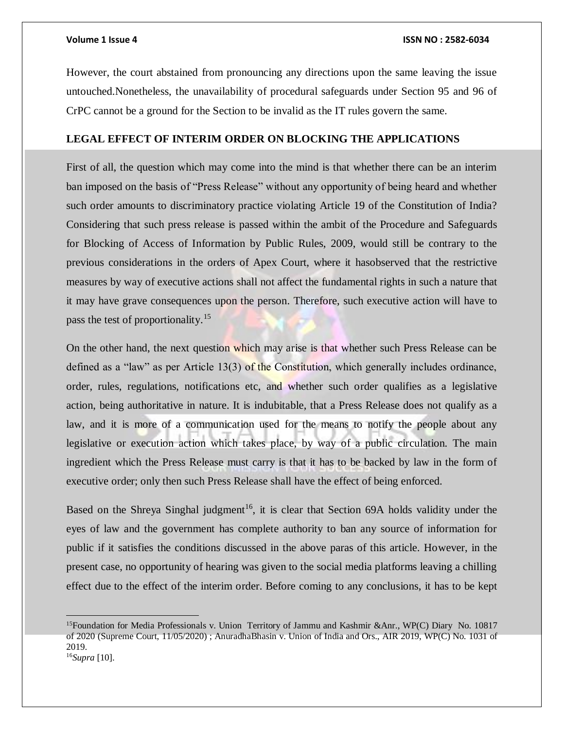However, the court abstained from pronouncing any directions upon the same leaving the issue untouched.Nonetheless, the unavailability of procedural safeguards under Section 95 and 96 of CrPC cannot be a ground for the Section to be invalid as the IT rules govern the same.

### **LEGAL EFFECT OF INTERIM ORDER ON BLOCKING THE APPLICATIONS**

First of all, the question which may come into the mind is that whether there can be an interim ban imposed on the basis of "Press Release" without any opportunity of being heard and whether such order amounts to discriminatory practice violating Article 19 of the Constitution of India? Considering that such press release is passed within the ambit of the Procedure and Safeguards for Blocking of Access of Information by Public Rules, 2009, would still be contrary to the previous considerations in the orders of Apex Court, where it hasobserved that the restrictive measures by way of executive actions shall not affect the fundamental rights in such a nature that it may have grave consequences upon the person. Therefore, such executive action will have to pass the test of proportionality.<sup>15</sup>

On the other hand, the next question which may arise is that whether such Press Release can be defined as a "law" as per Article 13(3) of the Constitution, which generally includes ordinance, order, rules, regulations, notifications etc, and whether such order qualifies as a legislative action, being authoritative in nature. It is indubitable, that a Press Release does not qualify as a law, and it is more of a communication used for the means to notify the people about any legislative or execution action which takes place, by way of a public circulation. The main ingredient which the Press Release must carry is that it has to be backed by law in the form of executive order; only then such Press Release shall have the effect of being enforced.

Based on the Shreya Singhal judgment<sup>16</sup>, it is clear that Section 69A holds validity under the eyes of law and the government has complete authority to ban any source of information for public if it satisfies the conditions discussed in the above paras of this article. However, in the present case, no opportunity of hearing was given to the social media platforms leaving a chilling effect due to the effect of the interim order. Before coming to any conclusions, it has to be kept

<sup>&</sup>lt;sup>15</sup>Foundation for Media Professionals v. Union Territory of Jammu and Kashmir &Anr., WP(C) Diary No. 10817 of 2020 (Supreme Court, 11/05/2020) ; AnuradhaBhasin v. Union of India and Ors., AIR 2019, WP(C) No. 1031 of 2019.

<sup>16</sup>*Supra* [10].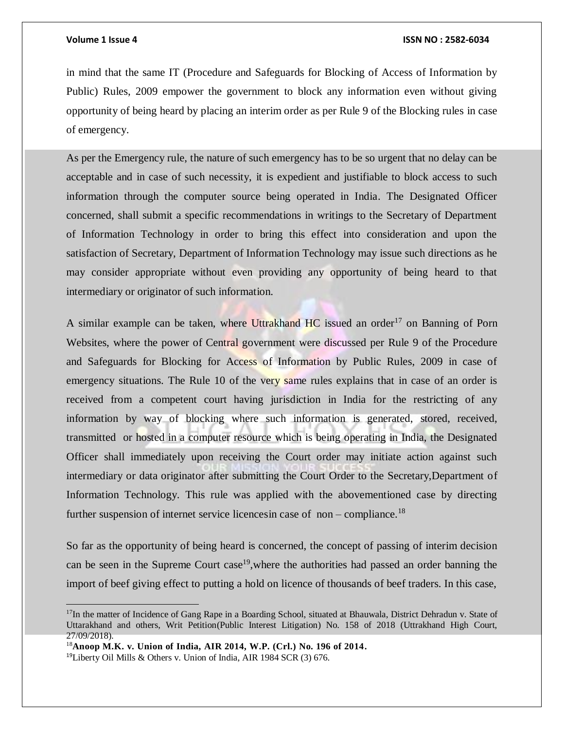in mind that the same IT (Procedure and Safeguards for Blocking of Access of Information by Public) Rules, 2009 empower the government to block any information even without giving opportunity of being heard by placing an interim order as per Rule 9 of the Blocking rules in case of emergency.

As per the Emergency rule, the nature of such emergency has to be so urgent that no delay can be acceptable and in case of such necessity, it is expedient and justifiable to block access to such information through the computer source being operated in India. The Designated Officer concerned, shall submit a specific recommendations in writings to the Secretary of Department of Information Technology in order to bring this effect into consideration and upon the satisfaction of Secretary, Department of Information Technology may issue such directions as he may consider appropriate without even providing any opportunity of being heard to that intermediary or originator of such information.

A similar example can be taken, where Uttrakhand  $HC$  issued an order<sup>17</sup> on Banning of Porn Websites, where the power of Central government were discussed per Rule 9 of the Procedure and Safeguards for Blocking for Access of Information by Public Rules, 2009 in case of emergency situations. The Rule 10 of the very same rules explains that in case of an order is received from a competent court having jurisdiction in India for the restricting of any information by way of blocking where such information is generated, stored, received, transmitted or hosted in a computer resource which is being operating in India, the Designated Officer shall immediately upon receiving the Court order may initiate action against such intermediary or data originator after submitting the Court Order to the Secretary,Department of Information Technology. This rule was applied with the abovementioned case by directing further suspension of internet service licences in case of non – compliance.<sup>18</sup>

So far as the opportunity of being heard is concerned, the concept of passing of interim decision can be seen in the Supreme Court case<sup>19</sup>, where the authorities had passed an order banning the import of beef giving effect to putting a hold on licence of thousands of beef traders. In this case,

 $\overline{a}$ 

<sup>&</sup>lt;sup>17</sup>In the matter of Incidence of Gang Rape in a Boarding School, situated at Bhauwala, District Dehradun v. State of Uttarakhand and others, Writ Petition(Public Interest Litigation) No. 158 of 2018 (Uttrakhand High Court, 27/09/2018).

<sup>18</sup>**Anoop M.K. v. Union of India, AIR 2014, W.P. (Crl.) No. 196 of 2014.**

<sup>19</sup>Liberty Oil Mills & Others v. Union of India, AIR 1984 SCR (3) 676.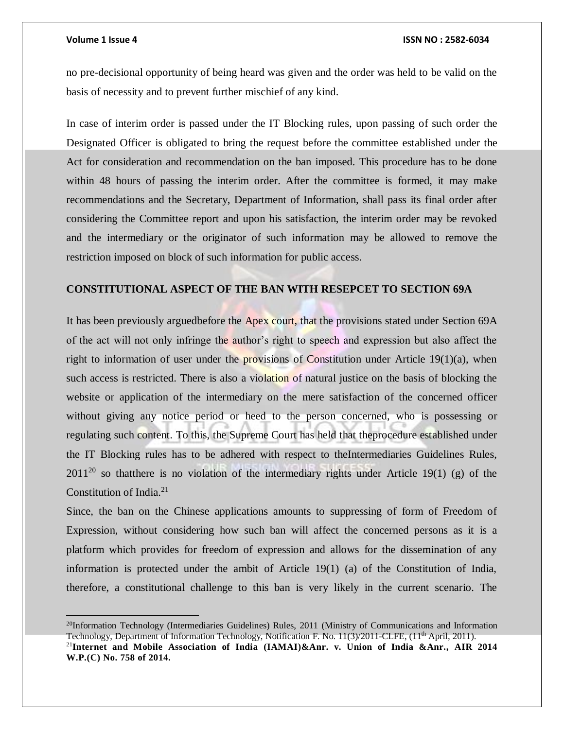#### **Volume 1 Issue 4 ISSN NO : 2582-6034**

no pre-decisional opportunity of being heard was given and the order was held to be valid on the basis of necessity and to prevent further mischief of any kind.

In case of interim order is passed under the IT Blocking rules, upon passing of such order the Designated Officer is obligated to bring the request before the committee established under the Act for consideration and recommendation on the ban imposed. This procedure has to be done within 48 hours of passing the interim order. After the committee is formed, it may make recommendations and the Secretary, Department of Information, shall pass its final order after considering the Committee report and upon his satisfaction, the interim order may be revoked and the intermediary or the originator of such information may be allowed to remove the restriction imposed on block of such information for public access.

### **CONSTITUTIONAL ASPECT OF THE BAN WITH RESEPCET TO SECTION 69A**

It has been previously arguedbefore the Apex court, that the provisions stated under Section 69A of the act will not only infringe the author's right to speech and expression but also affect the right to information of user under the provisions of Constitution under Article  $19(1)(a)$ , when such access is restricted. There is also a violation of natural justice on the basis of blocking the website or application of the intermediary on the mere satisfaction of the concerned officer without giving any notice period or heed to the person concerned, who is possessing or regulating such content. To this, the Supreme Court has held that theprocedure established under the IT Blocking rules has to be adhered with respect to theIntermediaries Guidelines Rules,  $2011^{20}$  so thatthere is no violation of the intermediary rights under Article 19(1) (g) of the Constitution of India.<sup>21</sup>

Since, the ban on the Chinese applications amounts to suppressing of form of Freedom of Expression, without considering how such ban will affect the concerned persons as it is a platform which provides for freedom of expression and allows for the dissemination of any information is protected under the ambit of Article 19(1) (a) of the Constitution of India, therefore, a constitutional challenge to this ban is very likely in the current scenario. The

 $^{20}$ Information Technology (Intermediaries Guidelines) Rules, 2011 (Ministry of Communications and Information Technology, Department of Information Technology, Notification F. No. 11(3)/2011-CLFE, (11<sup>th</sup> April, 2011). <sup>21</sup>**Internet and Mobile Association of India (IAMAI)&Anr. v. Union of India &Anr., AIR 2014 W.P.(C) No. 758 of 2014.**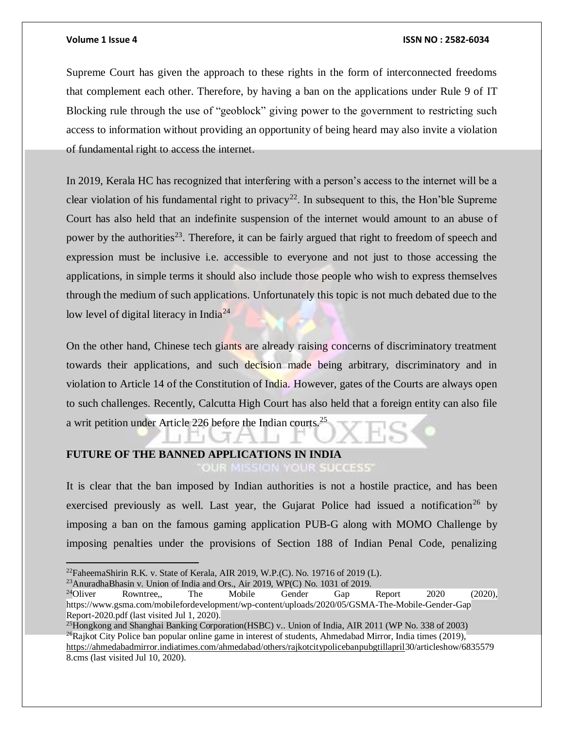#### **Volume 1 Issue 4 ISSN NO : 2582-6034**

Supreme Court has given the approach to these rights in the form of interconnected freedoms that complement each other. Therefore, by having a ban on the applications under Rule 9 of IT Blocking rule through the use of "geoblock" giving power to the government to restricting such access to information without providing an opportunity of being heard may also invite a violation of fundamental right to access the internet.

In 2019, Kerala HC has recognized that interfering with a person's access to the internet will be a clear violation of his fundamental right to privacy<sup>22</sup>. In subsequent to this, the Hon'ble Supreme Court has also held that an indefinite suspension of the internet would amount to an abuse of power by the authorities<sup>23</sup>. Therefore, it can be fairly argued that right to freedom of speech and expression must be inclusive i.e. accessible to everyone and not just to those accessing the applications, in simple terms it should also include those people who wish to express themselves through the medium of such applications. Unfortunately this topic is not much debated due to the low level of digital literacy in India<sup>24</sup>

On the other hand, Chinese tech giants are already raising concerns of discriminatory treatment towards their applications, and such decision made being arbitrary, discriminatory and in violation to Article 14 of the Constitution of India. However, gates of the Courts are always open to such challenges. Recently, Calcutta High Court has also held that a foreign entity can also file a writ petition under Article 226 before the Indian courts.<sup>25</sup>

### **FUTURE OF THE BANNED APPLICATIONS IN INDIA OUR SUCCESS**

It is clear that the ban imposed by Indian authorities is not a hostile practice, and has been exercised previously as well. Last year, the Gujarat Police had issued a notification<sup>26</sup> by imposing a ban on the famous gaming application PUB-G along with MOMO Challenge by imposing penalties under the provisions of Section 188 of Indian Penal Code, penalizing

 $^{22}$ FaheemaShirin R.K. v. State of Kerala, AIR 2019, W.P.(C). No. 19716 of 2019 (L).

<sup>&</sup>lt;sup>23</sup>AnuradhaBhasin v. Union of India and Ors., Air 2019, WP(C) No. 1031 of 2019.<br><sup>24</sup>Oliver Rowntree,, The Mobile Gender Gap  $24$ Oliver Rowntree,, The Mobile Gender Gap Report 2020 (2020), https://www.gsma.com/mobilefordevelopment/wp-content/uploads/2020/05/GSMA-The-Mobile-Gender-Gap Report-2020.pdf (last visited Jul 1, 2020).

<sup>&</sup>lt;sup>25</sup>Hongkong and Shanghai Banking Corporation(HSBC) v.. Union of India, AIR 2011 (WP No. 338 of 2003)  $^{26}$ Rajkot City Police ban popular online game in interest of students, Ahmedabad Mirror, India times (2019), [https://ahmedabadmirror.indiatimes.com/ahmedabad/others/rajkotcitypolicebanpubgtillapril3](https://ahmedabadmirror.indiatimes.com/ahmedabad/others/rajkotcitypolicebanpubgtillapril)0/articleshow/6835579 8.cms (last visited Jul 10, 2020).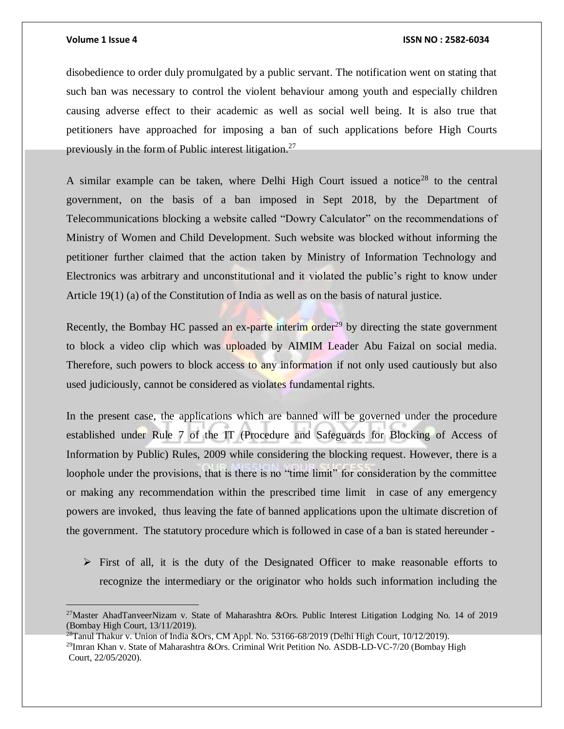$\overline{a}$ 

#### **Volume 1 Issue 4 ISSN NO : 2582-6034**

disobedience to order duly promulgated by a public servant. The notification went on stating that such ban was necessary to control the violent behaviour among youth and especially children causing adverse effect to their academic as well as social well being. It is also true that petitioners have approached for imposing a ban of such applications before High Courts previously in the form of Public interest litigation.<sup>27</sup>

A similar example can be taken, where Delhi High Court issued a notice<sup>28</sup> to the central government, on the basis of a ban imposed in Sept 2018, by the Department of Telecommunications blocking a website called "Dowry Calculator" on the recommendations of Ministry of Women and Child Development. Such website was blocked without informing the petitioner further claimed that the action taken by Ministry of Information Technology and Electronics was arbitrary and unconstitutional and it violated the public's right to know under Article 19(1) (a) of the Constitution of India as well as on the basis of natural justice.

Recently, the Bombay HC passed an ex-parte interim order<sup>29</sup> by directing the state government to block a video clip which was uploaded by AIMIM Leader Abu Faizal on social media. Therefore, such powers to block access to any information if not only used cautiously but also used judiciously, cannot be considered as violates fundamental rights.

In the present case, the applications which are banned will be governed under the procedure established under Rule 7 of the IT (Procedure and Safeguards for Blocking of Access of Information by Public) Rules, 2009 while considering the blocking request. However, there is a loophole under the provisions, that is there is no "time limit" for consideration by the committee or making any recommendation within the prescribed time limit in case of any emergency powers are invoked, thus leaving the fate of banned applications upon the ultimate discretion of the government. The statutory procedure which is followed in case of a ban is stated hereunder -

 $\triangleright$  First of all, it is the duty of the Designated Officer to make reasonable efforts to recognize the intermediary or the originator who holds such information including the

<sup>&</sup>lt;sup>27</sup>Master AhadTanveerNizam v. State of Maharashtra &Ors. Public Interest Litigation Lodging No. 14 of 2019 (Bombay High Court, 13/11/2019).

<sup>&</sup>lt;sup>28</sup>Tanul Thakur v. Union of India &Ors, CM Appl. No. 53166-68/2019 (Delhi High Court, 10/12/2019). <sup>29</sup>Imran Khan v. State of Maharashtra &Ors. Criminal Writ Petition No. ASDB-LD-VC-7/20 (Bombay High Court, 22/05/2020).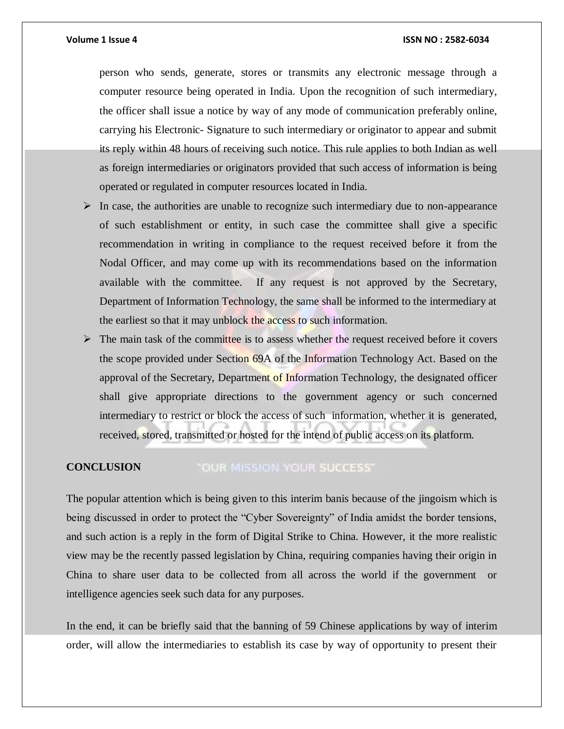person who sends, generate, stores or transmits any electronic message through a computer resource being operated in India. Upon the recognition of such intermediary, the officer shall issue a notice by way of any mode of communication preferably online, carrying his Electronic- Signature to such intermediary or originator to appear and submit its reply within 48 hours of receiving such notice. This rule applies to both Indian as well as foreign intermediaries or originators provided that such access of information is being operated or regulated in computer resources located in India.

- $\triangleright$  In case, the authorities are unable to recognize such intermediary due to non-appearance of such establishment or entity, in such case the committee shall give a specific recommendation in writing in compliance to the request received before it from the Nodal Officer, and may come up with its recommendations based on the information available with the committee. If any request is not approved by the Secretary, Department of Information Technology, the same shall be informed to the intermediary at the earliest so that it may unblock the access to such information.
- $\triangleright$  The main task of the committee is to assess whether the request received before it covers the scope provided under Section 69A of the Information Technology Act. Based on the approval of the Secretary, Department of Information Technology, the designated officer shall give appropriate directions to the government agency or such concerned intermediary to restrict or block the access of such information, whether it is generated, received, stored, transmitted or hosted for the intend of public access on its platform.

#### "OUR MISSION YOUR SUCCESS" **CONCLUSION**

The popular attention which is being given to this interim banis because of the jingoism which is being discussed in order to protect the "Cyber Sovereignty" of India amidst the border tensions, and such action is a reply in the form of Digital Strike to China. However, it the more realistic view may be the recently passed legislation by China, requiring companies having their origin in China to share user data to be collected from all across the world if the government or intelligence agencies seek such data for any purposes.

In the end, it can be briefly said that the banning of 59 Chinese applications by way of interim order, will allow the intermediaries to establish its case by way of opportunity to present their